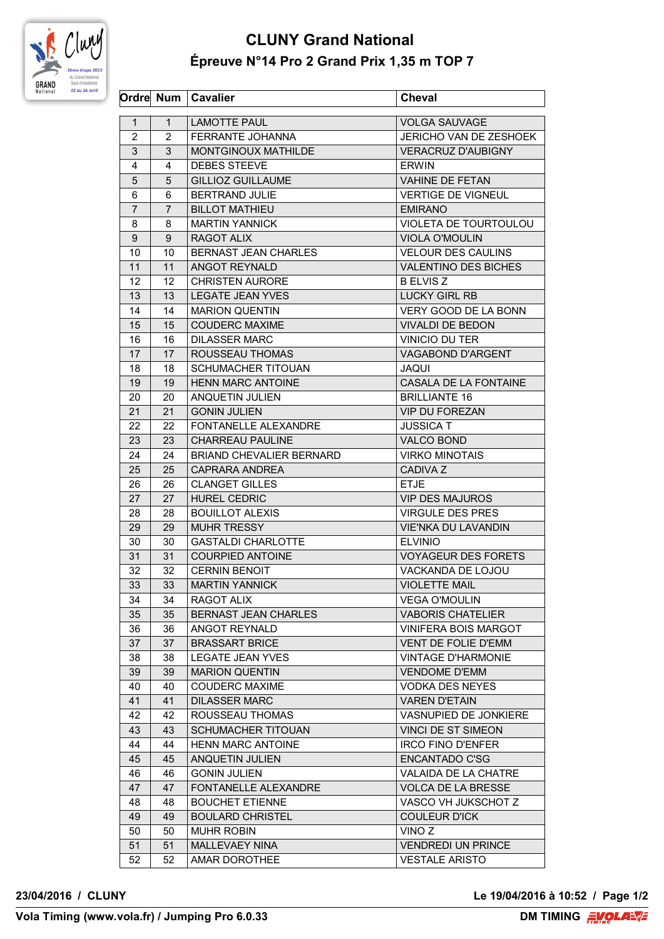

## **CLUNY Grand National Épreuve N°14 Pro 2 Grand Prix 1,35 m TOP 7**

|                |                | Ordre Num   Cavalier            | <b>Cheval</b>               |
|----------------|----------------|---------------------------------|-----------------------------|
| 1              | $\mathbf{1}$   | <b>LAMOTTE PAUL</b>             | <b>VOLGA SAUVAGE</b>        |
| 2              | $\overline{2}$ | <b>FERRANTE JOHANNA</b>         | JERICHO VAN DE ZESHOEK      |
| 3              | 3              | MONTGINOUX MATHILDE             | <b>VERACRUZ D'AUBIGNY</b>   |
| 4              | 4              | <b>DEBES STEEVE</b>             | <b>ERWIN</b>                |
| 5              | 5              | <b>GILLIOZ GUILLAUME</b>        | <b>VAHINE DE FETAN</b>      |
| 6              | 6              | <b>BERTRAND JULIE</b>           | <b>VERTIGE DE VIGNEUL</b>   |
| $\overline{7}$ | $\overline{7}$ | <b>BILLOT MATHIEU</b>           | <b>EMIRANO</b>              |
| 8              | 8              | <b>MARTIN YANNICK</b>           | VIOLETA DE TOURTOULOU       |
| 9              | 9              | RAGOT ALIX                      | <b>VIOLA O'MOULIN</b>       |
| 10             | 10             | BERNAST JEAN CHARLES            | <b>VELOUR DES CAULINS</b>   |
| 11             | 11             | ANGOT REYNALD                   | <b>VALENTINO DES BICHES</b> |
| 12             | 12             | <b>CHRISTEN AURORE</b>          | <b>B ELVIS Z</b>            |
| 13             | 13             | <b>LEGATE JEAN YVES</b>         | <b>LUCKY GIRL RB</b>        |
| 14             | 14             | <b>MARION QUENTIN</b>           | VERY GOOD DE LA BONN        |
| 15             | 15             | <b>COUDERC MAXIME</b>           | <b>VIVALDI DE BEDON</b>     |
| 16             | 16             | <b>DILASSER MARC</b>            | VINICIO DU TER              |
| 17             | 17             | ROUSSEAU THOMAS                 | VAGABOND D'ARGENT           |
| 18             | 18             | <b>SCHUMACHER TITOUAN</b>       | <b>JAQUI</b>                |
| 19             | 19             | <b>HENN MARC ANTOINE</b>        | CASALA DE LA FONTAINE       |
| 20             | 20             | ANQUETIN JULIEN                 | <b>BRILLIANTE 16</b>        |
| 21             | 21             | <b>GONIN JULIEN</b>             | <b>VIP DU FOREZAN</b>       |
| 22             | 22             | FONTANELLE ALEXANDRE            | <b>JUSSICA T</b>            |
| 23             | 23             | <b>CHARREAU PAULINE</b>         | <b>VALCO BOND</b>           |
| 24             | 24             | <b>BRIAND CHEVALIER BERNARD</b> | <b>VIRKO MINOTAIS</b>       |
| 25             | 25             | CAPRARA ANDREA                  | <b>CADIVA Z</b>             |
| 26             | 26             | <b>CLANGET GILLES</b>           | <b>ETJE</b>                 |
| 27             | 27             | <b>HUREL CEDRIC</b>             | <b>VIP DES MAJUROS</b>      |
| 28             | 28             | <b>BOUILLOT ALEXIS</b>          | <b>VIRGULE DES PRES</b>     |
| 29             | 29             | <b>MUHR TRESSY</b>              | <b>VIE'NKA DU LAVANDIN</b>  |
| 30             | 30             | <b>GASTALDI CHARLOTTE</b>       | <b>ELVINIO</b>              |
| 31             | 31             | <b>COURPIED ANTOINE</b>         | <b>VOYAGEUR DES FORETS</b>  |
| 32             | 32             | <b>CERNIN BENOIT</b>            | VACKANDA DE LOJOU           |
| 33             | 33             | <b>MARTIN YANNICK</b>           | <b>VIOLETTE MAIL</b>        |
| 34             | 34             | RAGOT ALIX                      | <b>VEGA O'MOULIN</b>        |
| 35             | 35             | BERNAST JEAN CHARLES            | <b>VABORIS CHATELIER</b>    |
| 36             | 36             | ANGOT REYNALD                   | VINIFERA BOIS MARGOT        |
| 37             | 37             | <b>BRASSART BRICE</b>           | VENT DE FOLIE D'EMM         |
| 38             | 38             | LEGATE JEAN YVES                | <b>VINTAGE D'HARMONIE</b>   |
| 39             | 39             | <b>MARION QUENTIN</b>           | <b>VENDOME D'EMM</b>        |
| 40             | 40             | <b>COUDERC MAXIME</b>           | <b>VODKA DES NEYES</b>      |
| 41             | 41             | <b>DILASSER MARC</b>            | <b>VAREN D'ETAIN</b>        |
| 42             | 42             | ROUSSEAU THOMAS                 | VASNUPIED DE JONKIERE       |
| 43             | 43             | <b>SCHUMACHER TITOUAN</b>       | VINCI DE ST SIMEON          |
| 44             | 44             | <b>HENN MARC ANTOINE</b>        | IRCO FINO D'ENFER           |
| 45             | 45             | <b>ANQUETIN JULIEN</b>          | <b>ENCANTADO C'SG</b>       |
| 46             | 46             | <b>GONIN JULIEN</b>             | VALAIDA DE LA CHATRE        |
| 47             | 47             | FONTANELLE ALEXANDRE            | <b>VOLCA DE LA BRESSE</b>   |
| 48             | 48             | <b>BOUCHET ETIENNE</b>          | VASCO VH JUKSCHOT Z         |
| 49             | 49             | <b>BOULARD CHRISTEL</b>         | <b>COULEUR D'ICK</b>        |
| 50             | 50             | <b>MUHR ROBIN</b>               | VINO Z                      |
| 51             | 51             | MALLEVAEY NINA                  | <b>VENDREDI UN PRINCE</b>   |
| 52             | 52             | AMAR DOROTHEE                   | <b>VESTALE ARISTO</b>       |
|                |                |                                 |                             |

**23/04/2016 / CLUNY Le 19/04/2016 à 10:52 / Page 1/2**